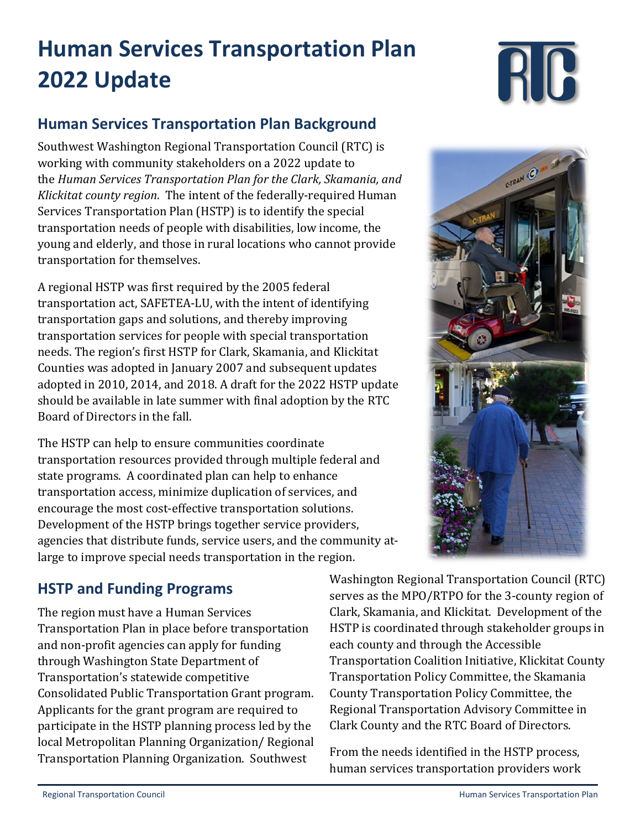# **Human Services Transportation Plan 2022 Update**

## **Human Services Transportation Plan Background**

Southwest Washington Regional Transportation Council (RTC) is working with community stakeholders on a 2022 update to the *Human Services Transportation Plan for the Clark, Skamania, and Klickitat county region*. The intent of the federally-required Human Services Transportation Plan (HSTP) is to identify the special transportation needs of people with disabilities, low income, the young and elderly, and those in rural locations who cannot provide transportation for themselves.

A regional HSTP was first required by the 2005 federal transportation act, SAFETEA-LU, with the intent of identifying transportation gaps and solutions, and thereby improving transportation services for people with special transportation needs. The region's first HSTP for Clark, Skamania, and Klickitat Counties was adopted in January 2007 and subsequent updates adopted in 2010, 2014, and 2018. A draft for the 2022 HSTP update should be available in late summer with final adoption by the RTC Board of Directors in the fall.

The HSTP can help to ensure communities coordinate transportation resources provided through multiple federal and state programs. A coordinated plan can help to enhance transportation access, minimize duplication of services, and encourage the most cost-effective transportation solutions. Development of the HSTP brings together service providers, agencies that distribute funds, service users, and the community atlarge to improve special needs transportation in the region.



## **HSTP and Funding Programs**

The region must have a Human Services Transportation Plan in place before transportation and non-profit agencies can apply for funding through Washington State Department of Transportation's statewide competitive Consolidated Public Transportation Grant program. Applicants for the grant program are required to participate in the HSTP planning process led by the local Metropolitan Planning Organization/ Regional Transportation Planning Organization. Southwest

Washington Regional Transportation Council (RTC) serves as the MPO/RTPO for the 3-county region of Clark, Skamania, and Klickitat. Development of the HSTP is coordinated through stakeholder groups in each county and through the Accessible Transportation Coalition Initiative, Klickitat County Transportation Policy Committee, the Skamania County Transportation Policy Committee, the Regional Transportation Advisory Committee in Clark County and the RTC Board of Directors.

From the needs identified in the HSTP process, human services transportation providers work